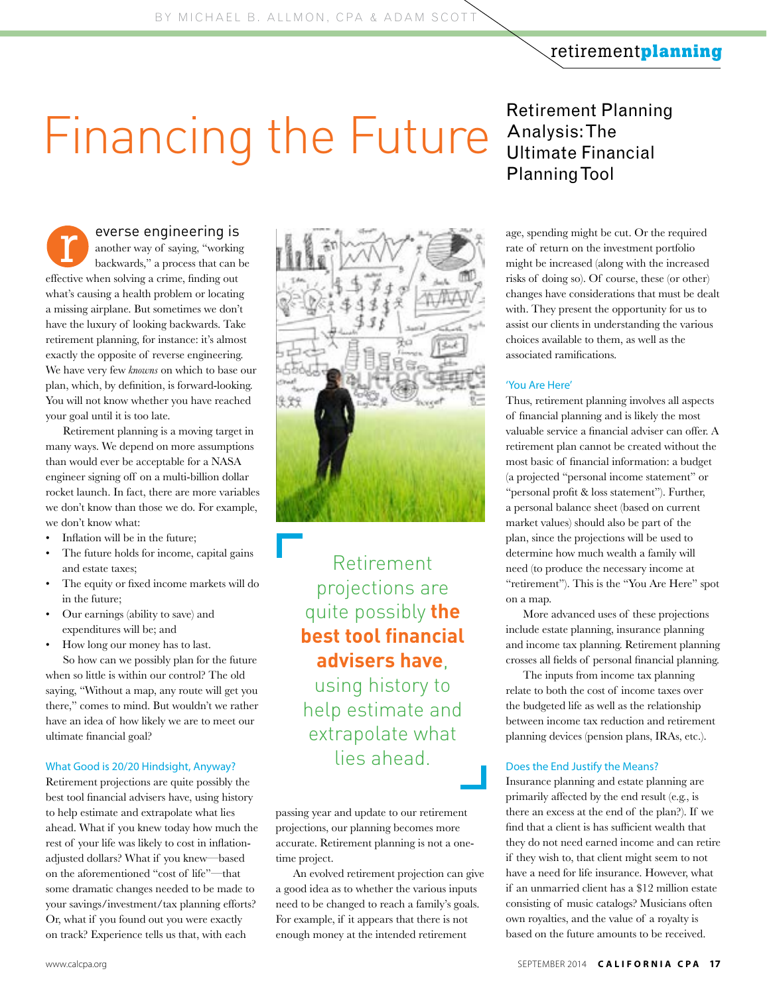## retirement**planning**

# Financing the Future Analysis: The Financial

everse engineering is another way of saying, "working backwards," a process that can be effective when solving a crime, finding out what's causing a health problem or locating a missing airplane. But sometimes we don't have the luxury of looking backwards. Take retirement planning, for instance: it's almost exactly the opposite of reverse engineering. We have very few *knowns* on which to base our plan, which, by definition, is forward-looking. You will not know whether you have reached your goal until it is too late. r

Retirement planning is a moving target in many ways. We depend on more assumptions than would ever be acceptable for a NASA engineer signing off on a multi-billion dollar rocket launch. In fact, there are more variables we don't know than those we do. For example, we don't know what:

- Inflation will be in the future;
- The future holds for income, capital gains and estate taxes;
- The equity or fixed income markets will do in the future;
- Our earnings (ability to save) and expenditures will be; and
- How long our money has to last. So how can we possibly plan for the future when so little is within our control? The old saying, "Without a map, any route will get you there," comes to mind. But wouldn't we rather have an idea of how likely we are to meet our ultimate financial goal?

#### What Good is 20/20 Hindsight, Anyway?

Retirement projections are quite possibly the best tool financial advisers have, using history to help estimate and extrapolate what lies ahead. What if you knew today how much the rest of your life was likely to cost in inflationadjusted dollars? What if you knew—based on the aforementioned "cost of life"—that some dramatic changes needed to be made to your savings/investment/tax planning efforts? Or, what if you found out you were exactly on track? Experience tells us that, with each



Retirement projections are quite possibly **the best tool financial advisers have**, using history to help estimate and extrapolate what lies ahead.

passing year and update to our retirement projections, our planning becomes more accurate. Retirement planning is not a onetime project.

An evolved retirement projection can give a good idea as to whether the various inputs need to be changed to reach a family's goals. For example, if it appears that there is not enough money at the intended retirement

## Analysis: The Ultimate Financial Planning Tool

age, spending might be cut. Or the required rate of return on the investment portfolio might be increased (along with the increased risks of doing so). Of course, these (or other) changes have considerations that must be dealt with. They present the opportunity for us to assist our clients in understanding the various choices available to them, as well as the associated ramifications.

## 'You Are Here'

Thus, retirement planning involves all aspects of financial planning and is likely the most valuable service a financial adviser can offer. A retirement plan cannot be created without the most basic of financial information: a budget (a projected "personal income statement" or "personal profit & loss statement"). Further, a personal balance sheet (based on current market values) should also be part of the plan, since the projections will be used to determine how much wealth a family will need (to produce the necessary income at "retirement"). This is the "You Are Here" spot on a map.

More advanced uses of these projections include estate planning, insurance planning and income tax planning. Retirement planning crosses all fields of personal financial planning.

The inputs from income tax planning relate to both the cost of income taxes over the budgeted life as well as the relationship between income tax reduction and retirement planning devices (pension plans, IRAs, etc.).

## Does the End Justify the Means?

Insurance planning and estate planning are primarily affected by the end result (e.g., is there an excess at the end of the plan?). If we find that a client is has sufficient wealth that they do not need earned income and can retire if they wish to, that client might seem to not have a need for life insurance. However, what if an unmarried client has a \$12 million estate consisting of music catalogs? Musicians often own royalties, and the value of a royalty is based on the future amounts to be received.